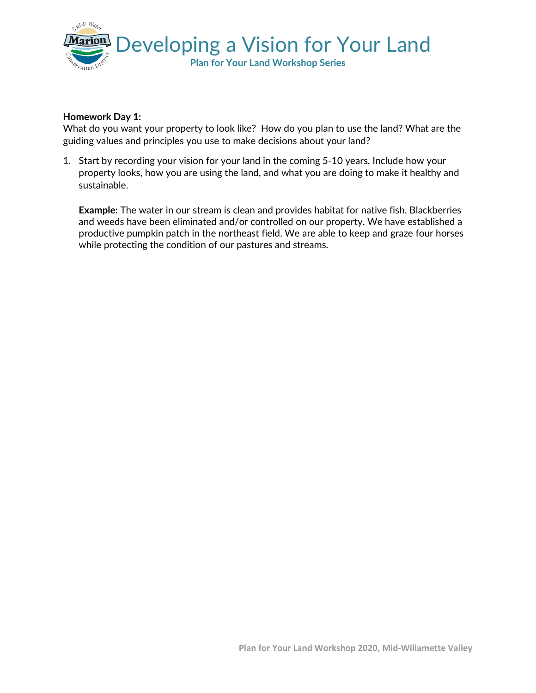

## **Homework Day 1:**

What do you want your property to look like? How do you plan to use the land? What are the guiding values and principles you use to make decisions about your land?

1. Start by recording your vision for your land in the coming 5-10 years. Include how your property looks, how you are using the land, and what you are doing to make it healthy and sustainable.

**Example:** The water in our stream is clean and provides habitat for native fish. Blackberries and weeds have been eliminated and/or controlled on our property. We have established a productive pumpkin patch in the northeast field. We are able to keep and graze four horses while protecting the condition of our pastures and streams.